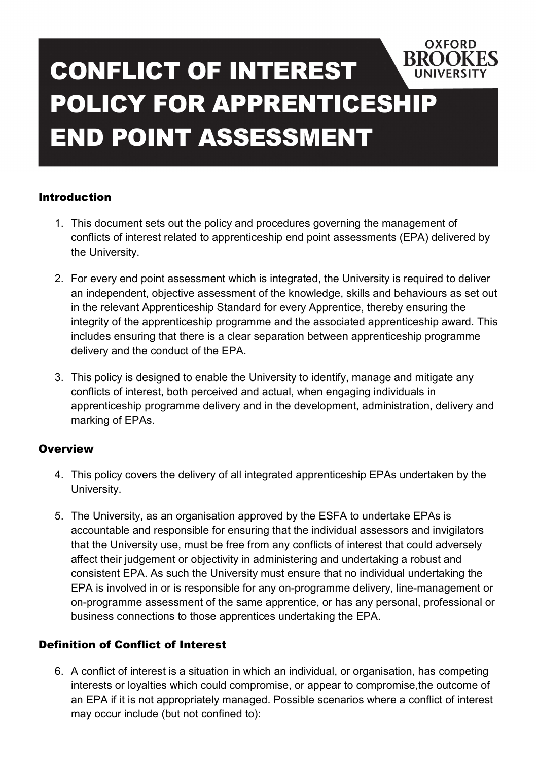# **BROOKES** CONFLICT OF INTEREST POLICY FOR APPRENTICESHIP END POINT ASSESSMENT

#### Introduction

1. This document sets out the policy and procedures governing the management of conflicts of interest related to apprenticeship end point assessments (EPA) delivered by the University.

**OXFORD** 

- 2. For every end point assessment which is integrated, the University is required to deliver an independent, objective assessment of the knowledge, skills and behaviours as set out in the relevant Apprenticeship Standard for every Apprentice, thereby ensuring the integrity of the apprenticeship programme and the associated apprenticeship award. This includes ensuring that there is a clear separation between apprenticeship programme delivery and the conduct of the EPA.
- 3. This policy is designed to enable the University to identify, manage and mitigate any conflicts of interest, both perceived and actual, when engaging individuals in apprenticeship programme delivery and in the development, administration, delivery and marking of EPAs.

#### **Overview**

- 4. This policy covers the delivery of all integrated apprenticeship EPAs undertaken by the University.
- 5. The University, as an organisation approved by the ESFA to undertake EPAs is accountable and responsible for ensuring that the individual assessors and invigilators that the University use, must be free from any conflicts of interest that could adversely affect their judgement or objectivity in administering and undertaking a robust and consistent EPA. As such the University must ensure that no individual undertaking the EPA is involved in or is responsible for any on-programme delivery, line-management or on-programme assessment of the same apprentice, or has any personal, professional or business connections to those apprentices undertaking the EPA.

#### Definition of Conflict of Interest

6. A conflict of interest is a situation in which an individual, or organisation, has competing interests or loyalties which could compromise, or appear to compromise,the outcome of an EPA if it is not appropriately managed. Possible scenarios where a conflict of interest may occur include (but not confined to):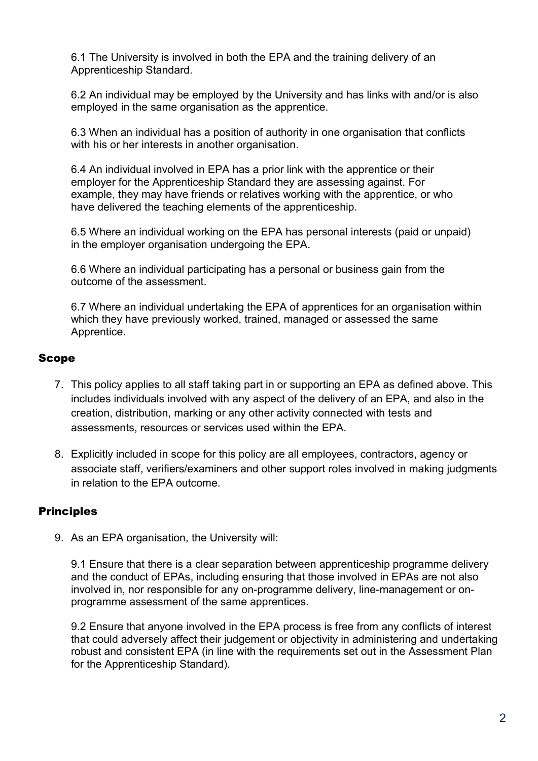6.1 The University is involved in both the EPA and the training delivery of an Apprenticeship Standard.

6.2 An individual may be employed by the University and has links with and/or is also employed in the same organisation as the apprentice.

6.3 When an individual has a position of authority in one organisation that conflicts with his or her interests in another organisation.

6.4 An individual involved in EPA has a prior link with the apprentice or their employer for the Apprenticeship Standard they are assessing against. For example, they may have friends or relatives working with the apprentice, or who have delivered the teaching elements of the apprenticeship.

6.5 Where an individual working on the EPA has personal interests (paid or unpaid) in the employer organisation undergoing the EPA.

6.6 Where an individual participating has a personal or business gain from the outcome of the assessment.

6.7 Where an individual undertaking the EPA of apprentices for an organisation within which they have previously worked, trained, managed or assessed the same Apprentice.

#### Scope

- 7. This policy applies to all staff taking part in or supporting an EPA as defined above. This includes individuals involved with any aspect of the delivery of an EPA, and also in the creation, distribution, marking or any other activity connected with tests and assessments, resources or services used within the EPA.
- 8. Explicitly included in scope for this policy are all employees, contractors, agency or associate staff, verifiers/examiners and other support roles involved in making judgments in relation to the EPA outcome.

#### **Principles**

9. As an EPA organisation, the University will:

9.1 Ensure that there is a clear separation between apprenticeship programme delivery and the conduct of EPAs, including ensuring that those involved in EPAs are not also involved in, nor responsible for any on-programme delivery, line-management or onprogramme assessment of the same apprentices.

9.2 Ensure that anyone involved in the EPA process is free from any conflicts of interest that could adversely affect their judgement or objectivity in administering and undertaking robust and consistent EPA (in line with the requirements set out in the Assessment Plan for the Apprenticeship Standard).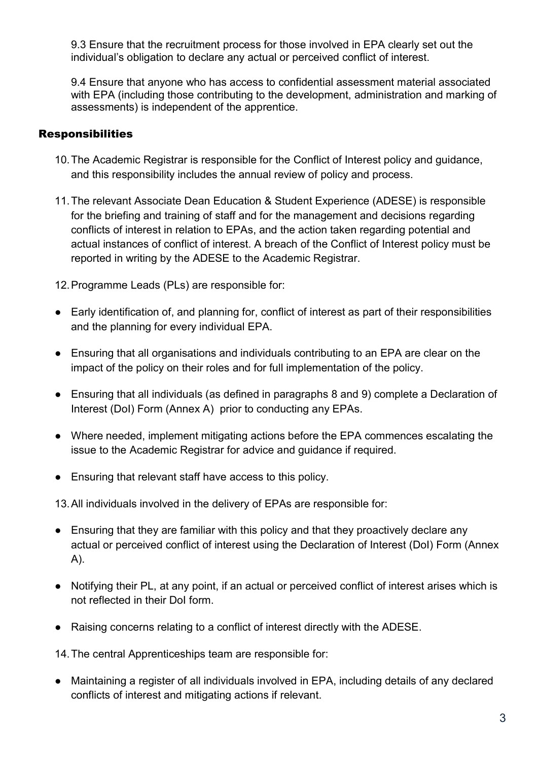9.3 Ensure that the recruitment process for those involved in EPA clearly set out the individual's obligation to declare any actual or perceived conflict of interest.

9.4 Ensure that anyone who has access to confidential assessment material associated with EPA (including those contributing to the development, administration and marking of assessments) is independent of the apprentice.

#### **Responsibilities**

- 10. The Academic Registrar is responsible for the Conflict of Interest policy and guidance, and this responsibility includes the annual review of policy and process.
- 11. The relevant Associate Dean Education & Student Experience (ADESE) is responsible for the briefing and training of staff and for the management and decisions regarding conflicts of interest in relation to EPAs, and the action taken regarding potential and actual instances of conflict of interest. A breach of the Conflict of Interest policy must be reported in writing by the ADESE to the Academic Registrar.

12. Programme Leads (PLs) are responsible for:

- Early identification of, and planning for, conflict of interest as part of their responsibilities and the planning for every individual EPA.
- Ensuring that all organisations and individuals contributing to an EPA are clear on the impact of the policy on their roles and for full implementation of the policy.
- Ensuring that all individuals (as defined in paragraphs 8 and 9) complete a Declaration of Interest (DoI) Form (Annex A) prior to conducting any EPAs.
- Where needed, implement mitigating actions before the EPA commences escalating the issue to the Academic Registrar for advice and guidance if required.
- Ensuring that relevant staff have access to this policy.

13. All individuals involved in the delivery of EPAs are responsible for:

- Ensuring that they are familiar with this policy and that they proactively declare any actual or perceived conflict of interest using the Declaration of Interest (DoI) Form (Annex A).
- Notifying their PL, at any point, if an actual or perceived conflict of interest arises which is not reflected in their DoI form.
- Raising concerns relating to a conflict of interest directly with the ADESE.

14. The central Apprenticeships team are responsible for:

● Maintaining a register of all individuals involved in EPA, including details of any declared conflicts of interest and mitigating actions if relevant.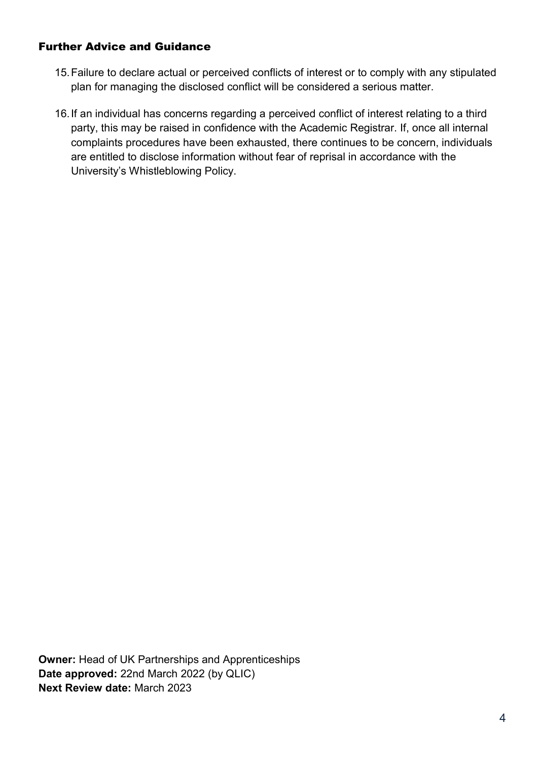#### Further Advice and Guidance

- 15. Failure to declare actual or perceived conflicts of interest or to comply with any stipulated plan for managing the disclosed conflict will be considered a serious matter.
- 16. If an individual has concerns regarding a perceived conflict of interest relating to a third party, this may be raised in confidence with the Academic Registrar. If, once all internal complaints procedures have been exhausted, there continues to be concern, individuals are entitled to disclose information without fear of reprisal in accordance with the University's Whistleblowing Policy.

Owner: Head of UK Partnerships and Apprenticeships Date approved: 22nd March 2022 (by QLIC) Next Review date: March 2023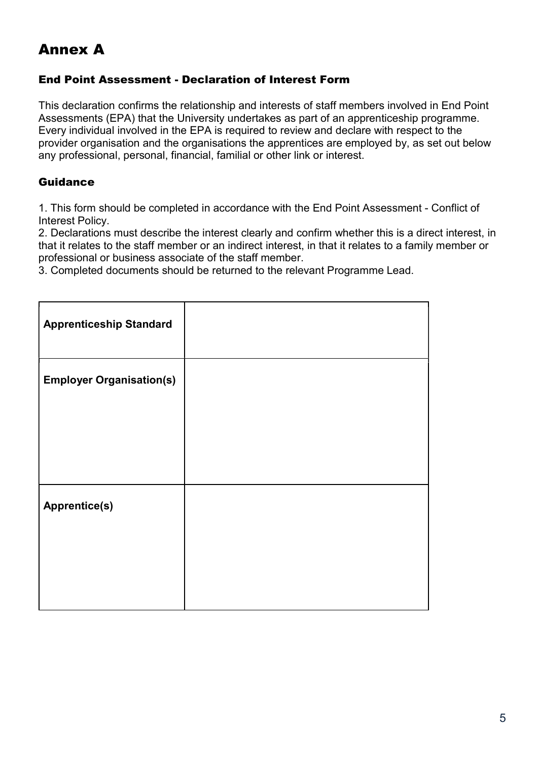# Annex A

#### End Point Assessment - Declaration of Interest Form

This declaration confirms the relationship and interests of staff members involved in End Point Assessments (EPA) that the University undertakes as part of an apprenticeship programme. Every individual involved in the EPA is required to review and declare with respect to the provider organisation and the organisations the apprentices are employed by, as set out below any professional, personal, financial, familial or other link or interest.

#### Guidance

1. This form should be completed in accordance with the End Point Assessment - Conflict of Interest Policy.

2. Declarations must describe the interest clearly and confirm whether this is a direct interest, in that it relates to the staff member or an indirect interest, in that it relates to a family member or professional or business associate of the staff member.

3. Completed documents should be returned to the relevant Programme Lead.

| <b>Apprenticeship Standard</b>  |  |
|---------------------------------|--|
| <b>Employer Organisation(s)</b> |  |
|                                 |  |
| <b>Apprentice(s)</b>            |  |
|                                 |  |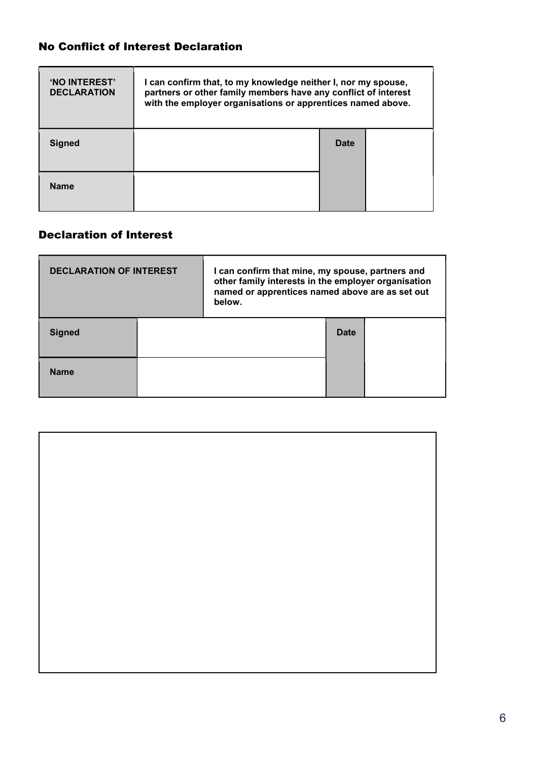### No Conflict of Interest Declaration

| 'NO INTEREST'<br><b>DECLARATION</b> | I can confirm that, to my knowledge neither I, nor my spouse,<br>partners or other family members have any conflict of interest<br>with the employer organisations or apprentices named above. |      |  |
|-------------------------------------|------------------------------------------------------------------------------------------------------------------------------------------------------------------------------------------------|------|--|
| <b>Signed</b>                       |                                                                                                                                                                                                | Date |  |
| <b>Name</b>                         |                                                                                                                                                                                                |      |  |

## Declaration of Interest

| <b>DECLARATION OF INTEREST</b> |  | I can confirm that mine, my spouse, partners and<br>other family interests in the employer organisation<br>named or apprentices named above are as set out<br>below. |      |  |  |
|--------------------------------|--|----------------------------------------------------------------------------------------------------------------------------------------------------------------------|------|--|--|
| <b>Signed</b>                  |  |                                                                                                                                                                      | Date |  |  |
| <b>Name</b>                    |  |                                                                                                                                                                      |      |  |  |